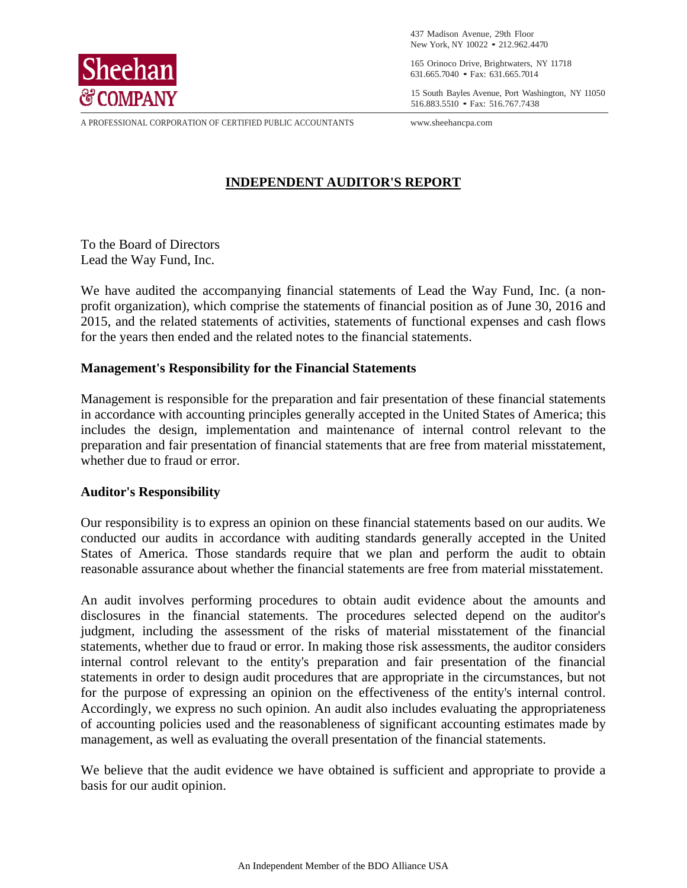

 437 Madison Avenue, 29th Floor New York, NY 10022 • 212.962.4470

 $S$ **hee han**  $^{165}$  Orinoco Drive, Brightwaters, NY 11718 631.665.7040 • Fax: 631.665.7014 631.665.7040 • Fax: 631.665.7014

 $\mathbb{C}$  COMPANY 11050 516.883.5510 • Fax: 516.767.7438

A PROFESSIONAL CORPORATION OF CERTIFIED PUBLIC ACCOUNTANTS www.sheehancpa.com

#### **INDEPENDENT AUDITOR'S REPORT**

To the Board of Directors Lead the Way Fund, Inc.

We have audited the accompanying financial statements of Lead the Way Fund, Inc. (a nonprofit organization), which comprise the statements of financial position as of June 30, 2016 and 2015, and the related statements of activities, statements of functional expenses and cash flows for the years then ended and the related notes to the financial statements.

#### **Management's Responsibility for the Financial Statements**

Management is responsible for the preparation and fair presentation of these financial statements in accordance with accounting principles generally accepted in the United States of America; this includes the design, implementation and maintenance of internal control relevant to the preparation and fair presentation of financial statements that are free from material misstatement, whether due to fraud or error.

#### **Auditor's Responsibility**

Our responsibility is to express an opinion on these financial statements based on our audits. We conducted our audits in accordance with auditing standards generally accepted in the United States of America. Those standards require that we plan and perform the audit to obtain reasonable assurance about whether the financial statements are free from material misstatement.

An audit involves performing procedures to obtain audit evidence about the amounts and disclosures in the financial statements. The procedures selected depend on the auditor's judgment, including the assessment of the risks of material misstatement of the financial statements, whether due to fraud or error. In making those risk assessments, the auditor considers internal control relevant to the entity's preparation and fair presentation of the financial statements in order to design audit procedures that are appropriate in the circumstances, but not for the purpose of expressing an opinion on the effectiveness of the entity's internal control. Accordingly, we express no such opinion. An audit also includes evaluating the appropriateness of accounting policies used and the reasonableness of significant accounting estimates made by management, as well as evaluating the overall presentation of the financial statements.

We believe that the audit evidence we have obtained is sufficient and appropriate to provide a basis for our audit opinion.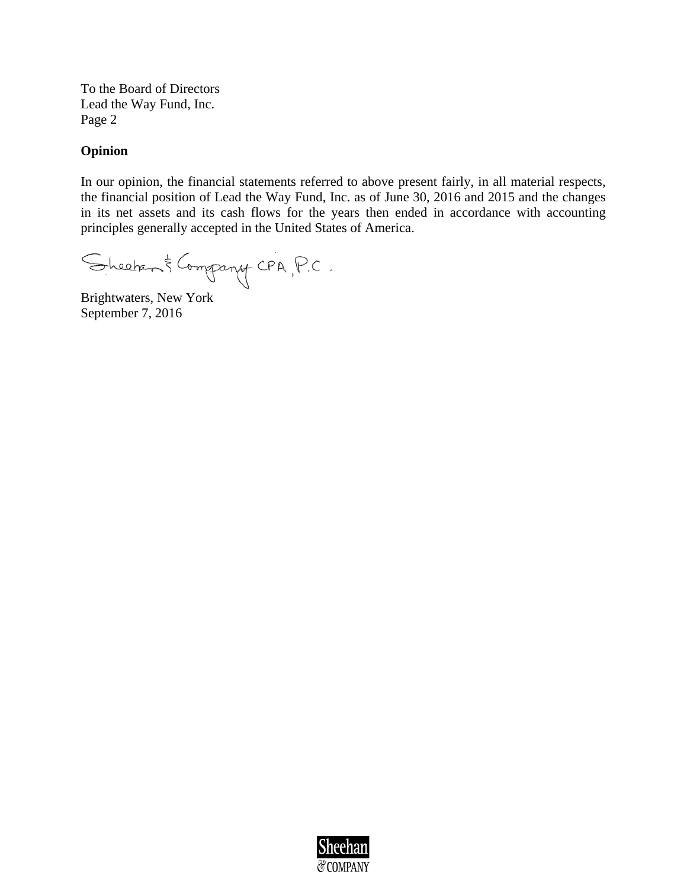To the Board of Directors Lead the Way Fund, Inc. Page 2

#### **Opinion**

In our opinion, the financial statements referred to above present fairly, in all material respects, the financial position of Lead the Way Fund, Inc. as of June 30, 2016 and 2015 and the changes in its net assets and its cash flows for the years then ended in accordance with accounting principles generally accepted in the United States of America.

Sheeher & Company CPA, P.C.

Brightwaters, New York September 7, 2016

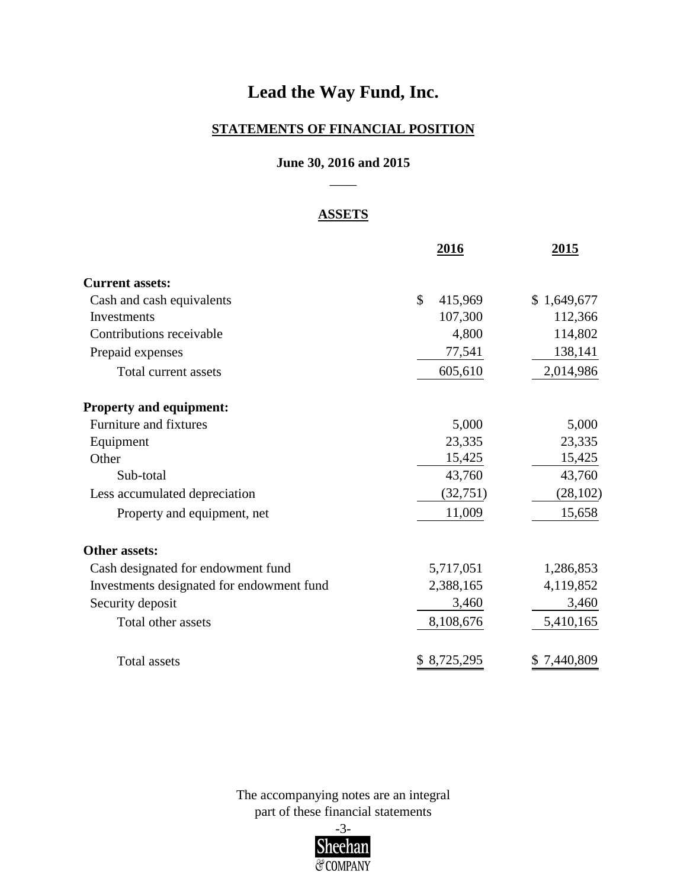#### **STATEMENTS OF FINANCIAL POSITION**

#### **June 30, 2016 and 2015**  $\overline{\phantom{a}}$

#### **ASSETS**

|                                           | 2016          | <u>2015</u> |
|-------------------------------------------|---------------|-------------|
| <b>Current assets:</b>                    |               |             |
| Cash and cash equivalents                 | \$<br>415,969 | \$1,649,677 |
| Investments                               | 107,300       | 112,366     |
| Contributions receivable                  | 4,800         | 114,802     |
| Prepaid expenses                          | 77,541        | 138,141     |
| Total current assets                      | 605,610       | 2,014,986   |
| <b>Property and equipment:</b>            |               |             |
| Furniture and fixtures                    | 5,000         | 5,000       |
| Equipment                                 | 23,335        | 23,335      |
| Other                                     | 15,425        | 15,425      |
| Sub-total                                 | 43,760        | 43,760      |
| Less accumulated depreciation             | (32,751)      | (28, 102)   |
| Property and equipment, net               | 11,009        | 15,658      |
| <b>Other assets:</b>                      |               |             |
| Cash designated for endowment fund        | 5,717,051     | 1,286,853   |
| Investments designated for endowment fund | 2,388,165     | 4,119,852   |
| Security deposit                          | 3,460         | 3,460       |
| Total other assets                        | 8,108,676     | 5,410,165   |
| <b>Total assets</b>                       | \$8,725,295   | \$7,440,809 |

The accompanying notes are an integral

part of these financial statements

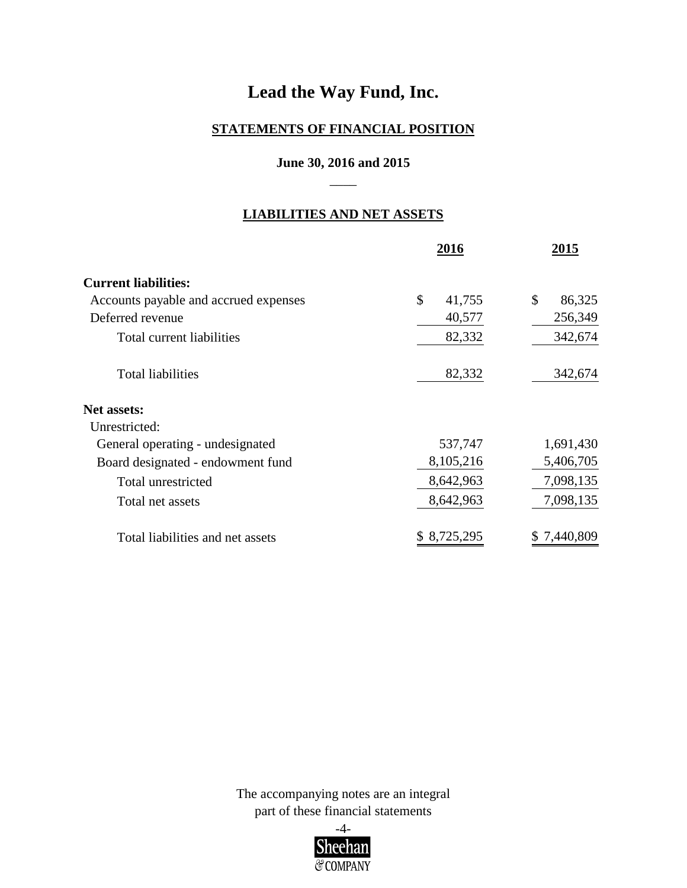#### **STATEMENTS OF FINANCIAL POSITION**

#### **June 30, 2016 and 2015**  $\overline{\phantom{a}}$

#### **LIABILITIES AND NET ASSETS**

|                                       | 2016         | 2015         |
|---------------------------------------|--------------|--------------|
| <b>Current liabilities:</b>           |              |              |
| Accounts payable and accrued expenses | \$<br>41,755 | \$<br>86,325 |
| Deferred revenue                      | 40,577       | 256,349      |
| Total current liabilities             | 82,332       | 342,674      |
| <b>Total liabilities</b>              | 82,332       | 342,674      |
| <b>Net assets:</b>                    |              |              |
| Unrestricted:                         |              |              |
| General operating - undesignated      | 537,747      | 1,691,430    |
| Board designated - endowment fund     | 8,105,216    | 5,406,705    |
| Total unrestricted                    | 8,642,963    | 7,098,135    |
| Total net assets                      | 8,642,963    | 7,098,135    |
| Total liabilities and net assets      | 8,725,295    | 7,440,809    |

The accompanying notes are an integral part of these financial statements

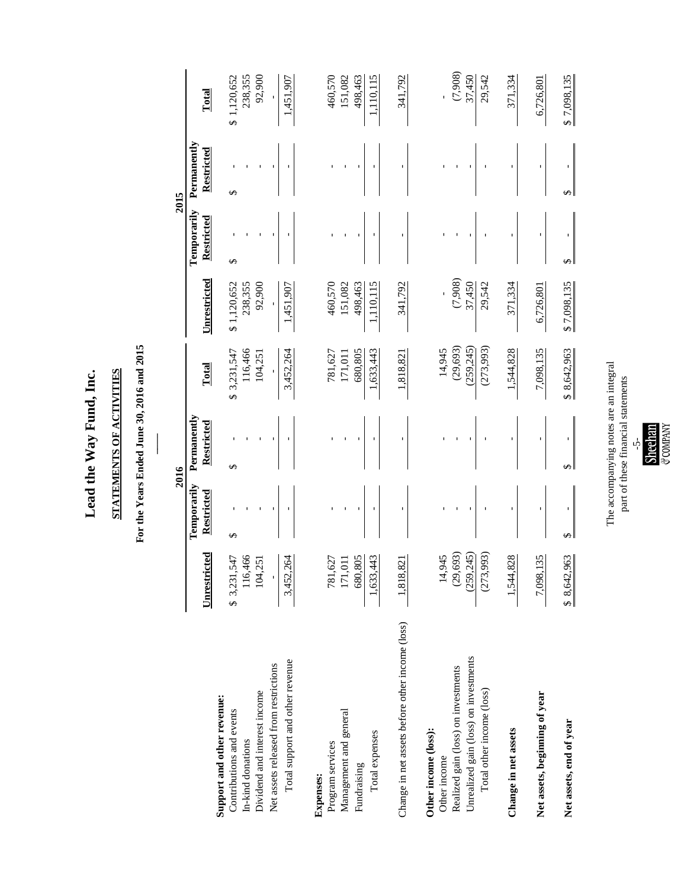Lead the Way Fund, Inc. **Lead the Way Fund, Inc.**

# STATEMENTS OF ACTIVITIES **STATEMENTS OF ACTIVITIES**

# For the Years Ended June 30, 2016 and 2015 **For the Years Ended June 30, 2016 and 2015**

 $\overline{\phantom{a}}$ 

|                                                 |                     |                           | 2016                      |                |              |                           | 2015                      |             |
|-------------------------------------------------|---------------------|---------------------------|---------------------------|----------------|--------------|---------------------------|---------------------------|-------------|
|                                                 | <b>Unrestricted</b> | Temporarily<br>Restricted | Permanently<br>Restricted | Total          | Unrestricted | Temporarily<br>Restricted | Permanently<br>Restricted | Total       |
| Support and other revenue:                      |                     | ↮                         | ↮                         | 3,231,547<br>↮ | \$1,120,652  | ↔                         | ↔                         | \$1,120.652 |
| Contributions and events                        | \$3,231,547         |                           |                           |                |              |                           |                           |             |
| In-kind donations                               | 116,466             |                           |                           | 116,466        | 238,355      |                           |                           | 238,355     |
| Dividend and interest income                    | 104,251             |                           |                           | 104,251        | 92,900       |                           |                           | 92,900      |
| Net assets released from restrictions           |                     |                           |                           | ı              | $\mathbf{I}$ |                           |                           | ı           |
| Total support and other revenue                 | 3,452,264           |                           |                           | 3,452,264      | 1,451,907    |                           |                           | 1,451,907   |
| <b>Expenses:</b>                                |                     |                           |                           |                |              |                           |                           |             |
| Program services                                |                     |                           |                           | 781,627        | 460,570      |                           |                           | 460,570     |
| Management and general                          | 781,627<br>171,011  |                           |                           | 171,011        | 151,082      |                           |                           | 151,082     |
| Fundraising                                     | 680,805             |                           |                           | 680,805        | 498,463      |                           |                           | 498,463     |
| Total expenses                                  | 43<br>1,633,4       |                           |                           | 1,633,443      | 1,110,115    |                           |                           | 1,110,115   |
| Change in net assets before other income (loss) | 1,818,821           |                           | ı                         | 1,818,821      | 341,792      |                           |                           | 341,792     |
| Other income (loss):<br>Other income            | 14,945              |                           |                           | 14,945         |              |                           |                           |             |
| Realized gain (loss) on investments             | (29, 693)           |                           |                           | (29, 693)      | (7,908)      |                           |                           | (7,908)     |
| Unrealized gain (loss) on investments           | (259, 245)          |                           |                           | (259, 245)     | 37,450       |                           |                           | 37,450      |
| Total other income (loss)                       | (273,993)           |                           |                           | (273,993)      | 29,542       |                           |                           | 29,542      |
| Change in net assets                            | 1,544,828           |                           |                           | 1,544,828      | 371,334      |                           |                           | 371,334     |
| Net assets, beginning of year                   | 7,098,135           | ı                         | ı                         | 7,098,135      | 6,726,801    | ı                         |                           | 6,726,801   |
| Net assets, end of year                         | \$8,642,963         |                           | ↮                         | \$8,642,963    | \$7,098,135  | ↮                         |                           | \$7,098,135 |

The accompanying notes are an integral<br>part of these financial statements The accompanying notes are an integral part of these financial statements-5-<br>Sheehan<br>&company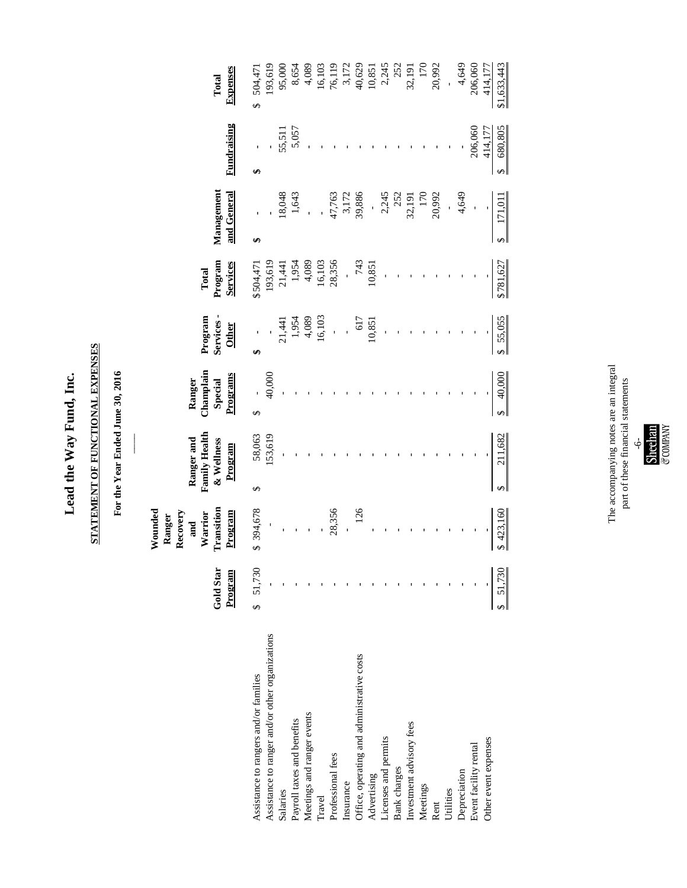# Lead the Way Fund, Inc. **Lead the Way Fund, Inc.**

# STATEMENT OF FUNCTIONAL EXPENSES **STATEMENT OF FUNCTIONAL EXPENSES**

For the Year Ended June 30, 2016 **For the Year Ended June 30, 2016**

|                                                 | Gold Star<br>Program | Transition<br>Wounded<br>Recovery<br>Warrior<br>Program<br>Ranger<br>and | <b>Family Health</b><br>Ranger and<br>& Wellness<br>Program | Champlain<br>Programs<br>Ranger<br>Special | Program<br>Services<br><b>Other</b> | Program<br><b>Services</b><br>Total | Management<br>and General | Fundraising                  | <b>Expenses</b><br>Total |
|-------------------------------------------------|----------------------|--------------------------------------------------------------------------|-------------------------------------------------------------|--------------------------------------------|-------------------------------------|-------------------------------------|---------------------------|------------------------------|--------------------------|
| Assistance to rangers and/or families           | \$ 51,730            | \$394,678                                                                | 58,063<br>↔                                                 | S)                                         | ↮                                   | \$504,471                           | ↮                         | ↮                            | 504,471<br>$\varphi$     |
| Assistance to ranger and/or other organizations |                      |                                                                          | 153,619                                                     | 40,000                                     |                                     | 193,619                             |                           |                              | 193,619                  |
| Salaries                                        |                      |                                                                          |                                                             |                                            | 21,441                              | 21,441                              | 18,048                    |                              | 95,000                   |
| Payroll taxes and benefits                      |                      |                                                                          |                                                             |                                            | 1,954                               | 1,954                               | 1,643                     | 55,511<br>5,057              | 8,654                    |
| Meetings and ranger events                      |                      |                                                                          |                                                             |                                            | 4,089                               | 4,089                               |                           |                              | 4,089                    |
| Travel                                          |                      |                                                                          |                                                             |                                            | 16,103                              | 16,103                              |                           |                              | 16,103                   |
| Professional fees                               |                      | 28,356                                                                   |                                                             |                                            |                                     | 28,356                              | 47,763                    |                              | 76,119                   |
| Insurance                                       |                      |                                                                          |                                                             |                                            |                                     |                                     | 3,172<br>39,886           |                              |                          |
| Office, operating and administrative costs      |                      | 126                                                                      |                                                             |                                            | 617                                 | 743                                 |                           |                              | 3,172<br>40,629          |
| Advertising                                     |                      |                                                                          |                                                             |                                            | 10,851                              | 10,851                              |                           |                              | 10,851                   |
| Licenses and permits                            |                      |                                                                          |                                                             |                                            |                                     |                                     | 2,245                     |                              | 2,245                    |
| Bank charges                                    |                      |                                                                          |                                                             |                                            |                                     |                                     | 252                       |                              | 252                      |
| Investment advisory fees                        |                      |                                                                          |                                                             |                                            |                                     |                                     | 32,191                    |                              | 32,191                   |
| Meetings                                        |                      |                                                                          |                                                             |                                            |                                     |                                     | <b>170</b>                |                              | 170                      |
| Rent                                            |                      |                                                                          |                                                             |                                            |                                     |                                     | 20,992                    |                              | 20,992                   |
| Utilities                                       |                      |                                                                          |                                                             |                                            |                                     |                                     |                           |                              |                          |
| Depreciation                                    |                      |                                                                          |                                                             |                                            |                                     |                                     | 4,649                     |                              | 4,649                    |
| Event facility rental                           |                      |                                                                          |                                                             |                                            |                                     |                                     |                           | 206,060                      | 206,060                  |
| Other event expenses                            |                      |                                                                          |                                                             |                                            |                                     |                                     |                           | 414,177                      | 414,177                  |
|                                                 | 51,730               | \$423,160                                                                | 211,682<br>↮                                                | 40,000<br>$\Theta$                         | 55,055                              | \$781,627                           | 171,01<br>↔               | 680,805<br>$\leftrightarrow$ | \$1,633,443              |

The accompanying notes are an integral<br>part of these financial statements The accompanying notes are an integral part of these financial statements-6-<br>Sheehan<br>&company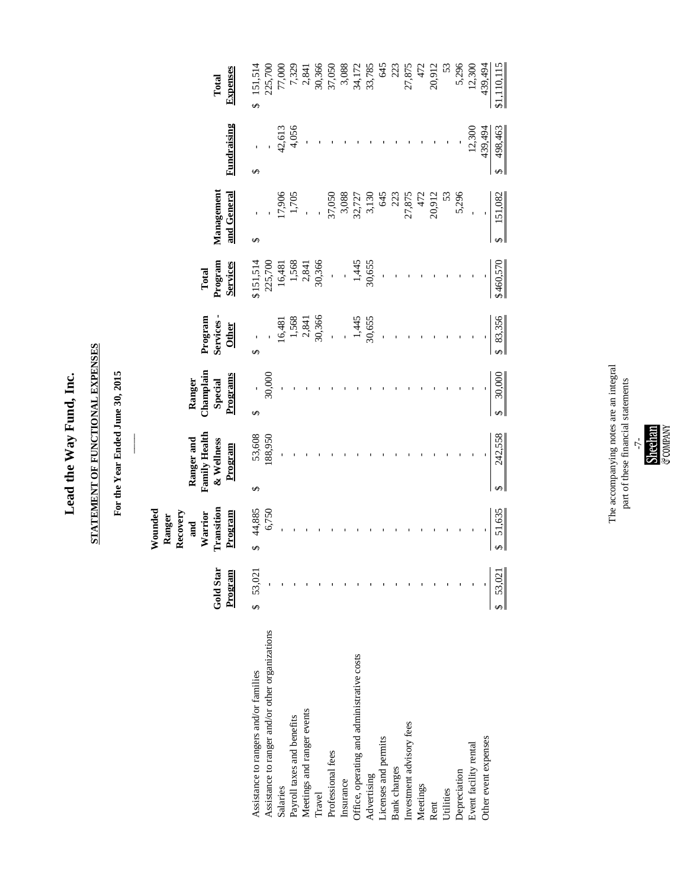# Lead the Way Fund, Inc. **Lead the Way Fund, Inc.**

# STATEMENT OF FUNCTIONAL EXPENSES **STATEMENT OF FUNCTIONAL EXPENSES**

For the Year Ended June 30, 2015 **For the Year Ended June 30, 2015**

|                                                 | Gold Star<br>Program | Transition<br>Wounded<br>Recovery<br>Program<br>Warrior<br>Ranger<br>and | <b>Family Health</b><br>Ranger and<br>& Wellness<br>Program | Champlain<br>Programs<br>Ranger<br>Special | Services-<br>Program<br><b>Other</b> | Program<br>Services<br>Total                            | Management<br>and General | Fundraising                  | Expenses<br>Total             |
|-------------------------------------------------|----------------------|--------------------------------------------------------------------------|-------------------------------------------------------------|--------------------------------------------|--------------------------------------|---------------------------------------------------------|---------------------------|------------------------------|-------------------------------|
| Assistance to rangers and/or families           | 53,021<br>$\Theta$   | 44,885<br>S                                                              | $\Theta$                                                    | ↔                                          | $\Theta$                             | \$151,514                                               | $\Theta$                  | ↔                            | 151,514<br>$\mathbf{\hat{z}}$ |
| Assistance to ranger and/or other organizations |                      | 6,750                                                                    | 53,608<br>188,950                                           | 30,000                                     |                                      | 225,700                                                 |                           |                              |                               |
| Salaries                                        |                      |                                                                          |                                                             |                                            | 16,481                               | 16,481                                                  |                           |                              | 225,700<br>77,000<br>7,329    |
| Payroll taxes and benefits                      |                      |                                                                          |                                                             |                                            |                                      |                                                         | 17,906<br>1,705           | 42,613<br>4,056              |                               |
| Meetings and ranger events                      |                      |                                                                          |                                                             |                                            | $\frac{1,568}{2,841}$<br>30,366      | $\begin{array}{c} 1,568 \\ 2,841 \\ 30,366 \end{array}$ |                           |                              | 2,841                         |
| Travel                                          |                      |                                                                          |                                                             |                                            |                                      |                                                         |                           |                              |                               |
| Professional fees                               |                      |                                                                          |                                                             |                                            |                                      | $\overline{1}$                                          | 37,050                    |                              | 30,366<br>37,050              |
| Insurance                                       |                      |                                                                          |                                                             |                                            |                                      |                                                         |                           |                              | 3,088                         |
| Office, operating and administrative costs      |                      |                                                                          |                                                             |                                            |                                      |                                                         | 3,088<br>32,727           |                              | 34,172                        |
| Advertising                                     |                      |                                                                          |                                                             |                                            | 1,445<br>30,655                      | $1,445$<br>30,655                                       | 3,130                     |                              | 33,785                        |
| Licenses and permits                            |                      |                                                                          |                                                             |                                            |                                      |                                                         | 645                       |                              | 645                           |
| Bank charges                                    |                      |                                                                          |                                                             |                                            |                                      |                                                         | 223                       |                              | 223                           |
| Investment advisory fees                        |                      |                                                                          |                                                             |                                            |                                      |                                                         | 27,875                    |                              | 27,875                        |
| Meetings                                        |                      |                                                                          |                                                             |                                            |                                      |                                                         | 472                       |                              | 472                           |
| Rent                                            |                      |                                                                          |                                                             |                                            |                                      |                                                         | 20,912                    |                              | 20,912                        |
| Utilities                                       |                      |                                                                          |                                                             |                                            |                                      |                                                         | 53                        |                              | 53                            |
| Depreciation                                    |                      |                                                                          |                                                             |                                            |                                      |                                                         | 5,296                     |                              |                               |
| Event facility rental                           |                      |                                                                          |                                                             |                                            |                                      |                                                         |                           | 12,300                       | 5,296<br>12,300               |
| Other event expenses                            |                      |                                                                          |                                                             |                                            |                                      |                                                         |                           | 439,494                      | 439,494                       |
|                                                 | 53,021               | 51,635<br>$\leftrightarrow$                                              | 242,558                                                     | \$30,000                                   | \$ 83,356                            | \$460,570                                               | 151,082                   | 498,463<br>$\leftrightarrow$ | \$1,110,115                   |

The accompanying notes are an integral<br>part of these financial statements The accompanying notes are an integral part of these financial statements Sheehan<br>Sheehan<br>&company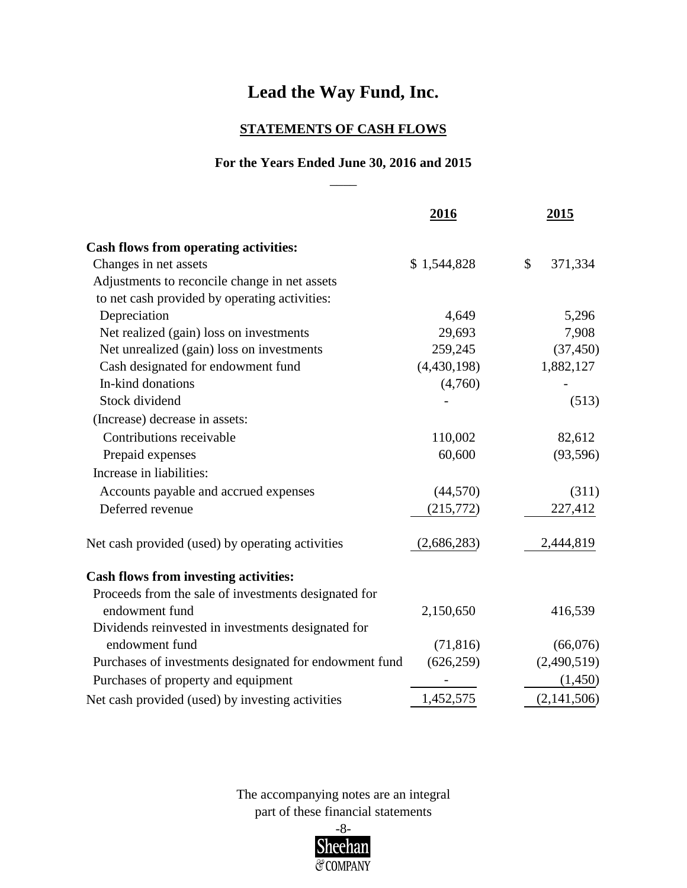#### **STATEMENTS OF CASH FLOWS**

#### $\overline{\phantom{a}}$ **For the Years Ended June 30, 2016 and 2015**

|                                                        | 2016        | <u>2015</u>   |
|--------------------------------------------------------|-------------|---------------|
| <b>Cash flows from operating activities:</b>           |             |               |
| Changes in net assets                                  | \$1,544,828 | 371,334<br>\$ |
| Adjustments to reconcile change in net assets          |             |               |
| to net cash provided by operating activities:          |             |               |
| Depreciation                                           | 4,649       | 5,296         |
| Net realized (gain) loss on investments                | 29,693      | 7,908         |
| Net unrealized (gain) loss on investments              | 259,245     | (37, 450)     |
| Cash designated for endowment fund                     | (4,430,198) | 1,882,127     |
| In-kind donations                                      | (4,760)     |               |
| Stock dividend                                         |             | (513)         |
| (Increase) decrease in assets:                         |             |               |
| Contributions receivable                               | 110,002     | 82,612        |
| Prepaid expenses                                       | 60,600      | (93, 596)     |
| Increase in liabilities:                               |             |               |
| Accounts payable and accrued expenses                  | (44, 570)   | (311)         |
| Deferred revenue                                       | (215,772)   | 227,412       |
| Net cash provided (used) by operating activities       | (2,686,283) | 2,444,819     |
| <b>Cash flows from investing activities:</b>           |             |               |
| Proceeds from the sale of investments designated for   |             |               |
| endowment fund                                         | 2,150,650   | 416,539       |
| Dividends reinvested in investments designated for     |             |               |
| endowment fund                                         | (71, 816)   | (66,076)      |
| Purchases of investments designated for endowment fund | (626, 259)  | (2,490,519)   |
| Purchases of property and equipment                    |             | (1,450)       |
| Net cash provided (used) by investing activities       | 1,452,575   | (2,141,506)   |

part of these financial statements The accompanying notes are an integral

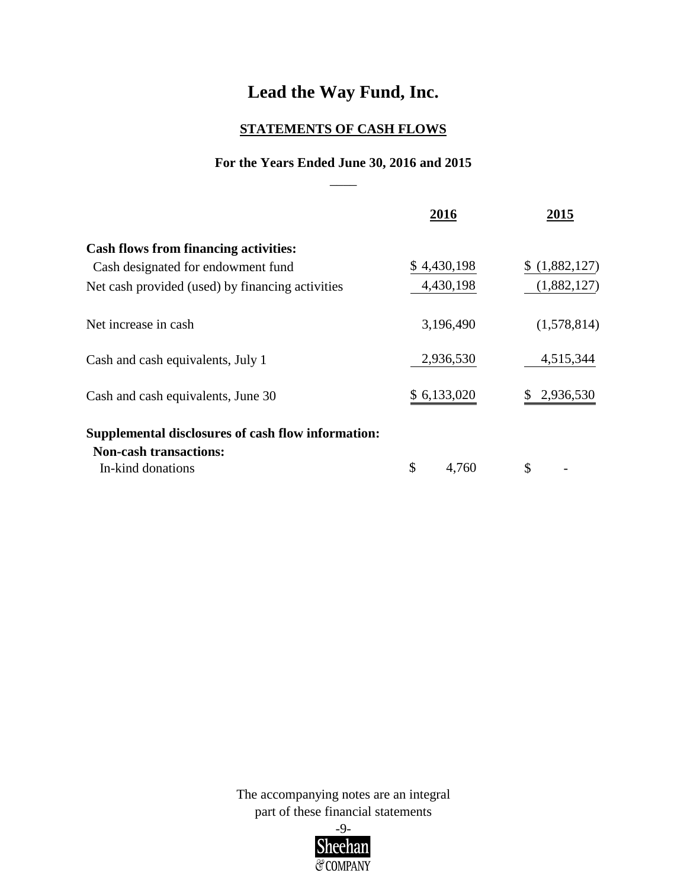#### **STATEMENTS OF CASH FLOWS**

#### **For the Years Ended June 30, 2016 and 2015**  $\overline{\phantom{a}}$

|                                                                                                          | 2016        | 2015          |
|----------------------------------------------------------------------------------------------------------|-------------|---------------|
| <b>Cash flows from financing activities:</b><br>Cash designated for endowment fund                       | \$4,430,198 | \$(1,882,127) |
| Net cash provided (used) by financing activities                                                         | 4,430,198   | (1,882,127)   |
| Net increase in cash                                                                                     | 3,196,490   | (1,578,814)   |
| Cash and cash equivalents, July 1                                                                        | 2,936,530   | 4,515,344     |
| Cash and cash equivalents, June 30                                                                       | \$6,133,020 | 2,936,530     |
| Supplemental disclosures of cash flow information:<br><b>Non-cash transactions:</b><br>In-kind donations | \$<br>4,760 | \$            |

part of these financial statements The accompanying notes are an integral

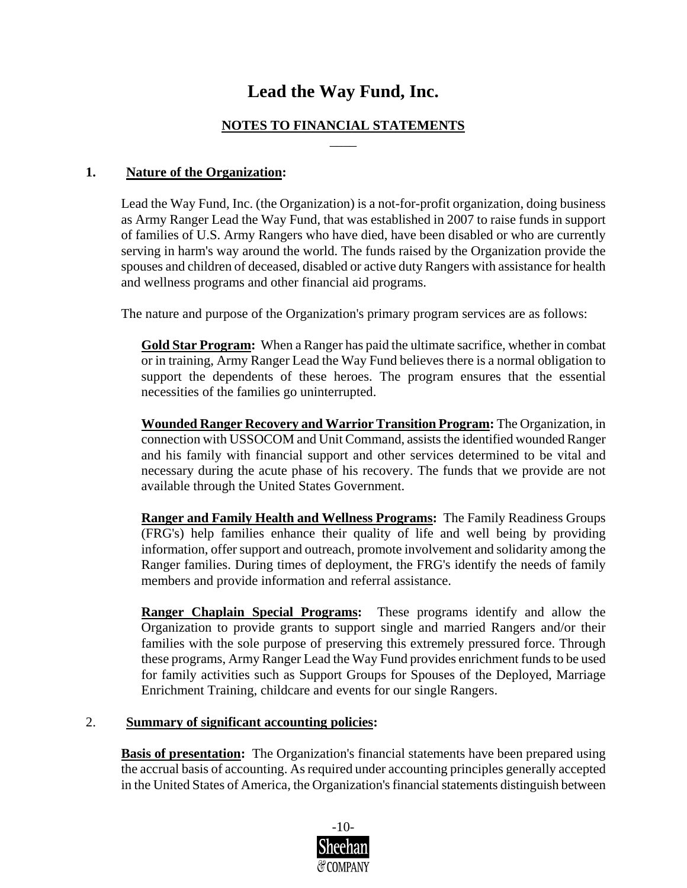#### **NOTES TO FINANCIAL STATEMENTS** \_\_\_\_

#### **1. Nature of the Organization:**

Lead the Way Fund, Inc. (the Organization) is a not-for-profit organization, doing business as Army Ranger Lead the Way Fund, that was established in 2007 to raise funds in support of families of U.S. Army Rangers who have died, have been disabled or who are currently serving in harm's way around the world. The funds raised by the Organization provide the spouses and children of deceased, disabled or active duty Rangers with assistance for health and wellness programs and other financial aid programs.

The nature and purpose of the Organization's primary program services are as follows:

**Gold Star Program:** When a Ranger has paid the ultimate sacrifice, whether in combat or in training, Army Ranger Lead the Way Fund believes there is a normal obligation to support the dependents of these heroes. The program ensures that the essential necessities of the families go uninterrupted.

**Wounded Ranger Recovery and Warrior Transition Program:** The Organization, in connection with USSOCOM and Unit Command, assists the identified wounded Ranger and his family with financial support and other services determined to be vital and necessary during the acute phase of his recovery. The funds that we provide are not available through the United States Government.

**Ranger and Family Health and Wellness Programs:** The Family Readiness Groups (FRG's) help families enhance their quality of life and well being by providing information, offer support and outreach, promote involvement and solidarity among the Ranger families. During times of deployment, the FRG's identify the needs of family members and provide information and referral assistance.

**Ranger Chaplain Special Programs:** These programs identify and allow the Organization to provide grants to support single and married Rangers and/or their families with the sole purpose of preserving this extremely pressured force. Through these programs, Army Ranger Lead the Way Fund provides enrichment funds to be used for family activities such as Support Groups for Spouses of the Deployed, Marriage Enrichment Training, childcare and events for our single Rangers.

#### 2. **Summary of significant accounting policies:**

**Basis of presentation:** The Organization's financial statements have been prepared using the accrual basis of accounting. As required under accounting principles generally accepted in the United States of America, the Organization's financial statements distinguish between

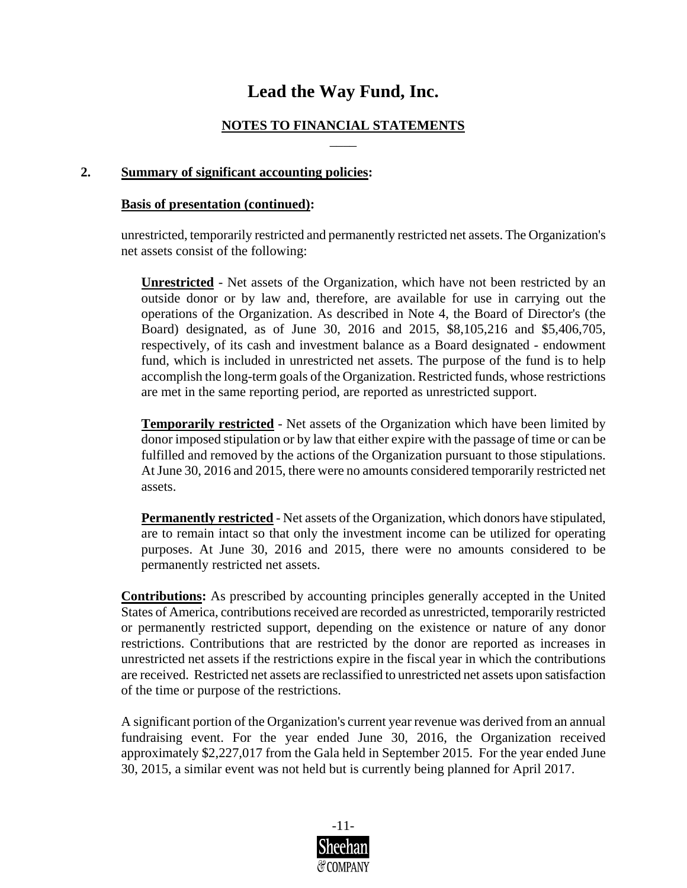#### **NOTES TO FINANCIAL STATEMENTS** \_\_\_\_

#### **2. Summary of significant accounting policies:**

#### **Basis of presentation (continued):**

unrestricted, temporarily restricted and permanently restricted net assets. The Organization's net assets consist of the following:

**Unrestricted** - Net assets of the Organization, which have not been restricted by an outside donor or by law and, therefore, are available for use in carrying out the operations of the Organization. As described in Note 4, the Board of Director's (the Board) designated, as of June 30, 2016 and 2015, \$8,105,216 and \$5,406,705, respectively, of its cash and investment balance as a Board designated - endowment fund, which is included in unrestricted net assets. The purpose of the fund is to help accomplish the long-term goals of the Organization. Restricted funds, whose restrictions are met in the same reporting period, are reported as unrestricted support.

**Temporarily restricted** *-* Net assets of the Organization which have been limited by donor imposed stipulation or by law that either expire with the passage of time or can be fulfilled and removed by the actions of the Organization pursuant to those stipulations. At June 30, 2016 and 2015, there were no amounts considered temporarily restricted net assets.

**Permanently restricted** *-* Net assets of the Organization, which donors have stipulated, are to remain intact so that only the investment income can be utilized for operating purposes. At June 30, 2016 and 2015, there were no amounts considered to be permanently restricted net assets.

**Contributions:** As prescribed by accounting principles generally accepted in the United States of America, contributions received are recorded as unrestricted, temporarily restricted or permanently restricted support, depending on the existence or nature of any donor restrictions. Contributions that are restricted by the donor are reported as increases in unrestricted net assets if the restrictions expire in the fiscal year in which the contributions are received. Restricted net assets are reclassified to unrestricted net assets upon satisfaction of the time or purpose of the restrictions.

A significant portion of the Organization's current year revenue was derived from an annual fundraising event. For the year ended June 30, 2016, the Organization received approximately \$2,227,017 from the Gala held in September 2015. For the year ended June 30, 2015, a similar event was not held but is currently being planned for April 2017.

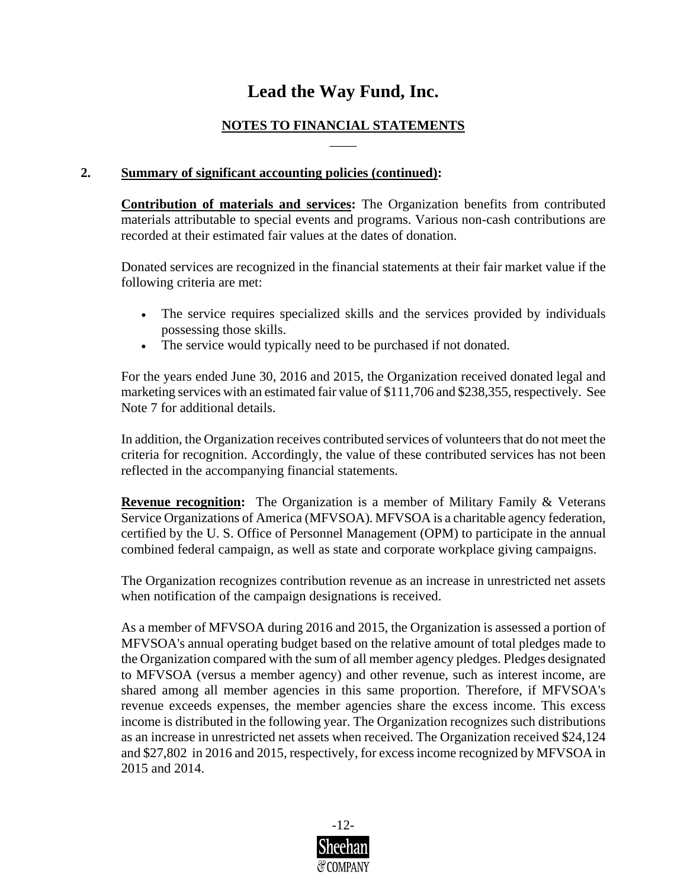#### **NOTES TO FINANCIAL STATEMENTS** \_\_\_\_

#### **2. Summary of significant accounting policies (continued):**

**Contribution of materials and services:** The Organization benefits from contributed materials attributable to special events and programs. Various non-cash contributions are recorded at their estimated fair values at the dates of donation.

Donated services are recognized in the financial statements at their fair market value if the following criteria are met:

- The service requires specialized skills and the services provided by individuals possessing those skills.
- The service would typically need to be purchased if not donated.

For the years ended June 30, 2016 and 2015, the Organization received donated legal and marketing services with an estimated fair value of \$111,706 and \$238,355, respectively. See Note 7 for additional details.

In addition, the Organization receives contributed services of volunteers that do not meet the criteria for recognition. Accordingly, the value of these contributed services has not been reflected in the accompanying financial statements.

**Revenue recognition:** The Organization is a member of Military Family & Veterans Service Organizations of America (MFVSOA). MFVSOA is a charitable agency federation, certified by the U. S. Office of Personnel Management (OPM) to participate in the annual combined federal campaign, as well as state and corporate workplace giving campaigns.

The Organization recognizes contribution revenue as an increase in unrestricted net assets when notification of the campaign designations is received.

As a member of MFVSOA during 2016 and 2015, the Organization is assessed a portion of MFVSOA's annual operating budget based on the relative amount of total pledges made to the Organization compared with the sum of all member agency pledges. Pledges designated to MFVSOA (versus a member agency) and other revenue, such as interest income, are shared among all member agencies in this same proportion. Therefore, if MFVSOA's revenue exceeds expenses, the member agencies share the excess income. This excess income is distributed in the following year. The Organization recognizes such distributions as an increase in unrestricted net assets when received. The Organization received \$24,124 and \$27,802 in 2016 and 2015, respectively, for excess income recognized by MFVSOA in 2015 and 2014.

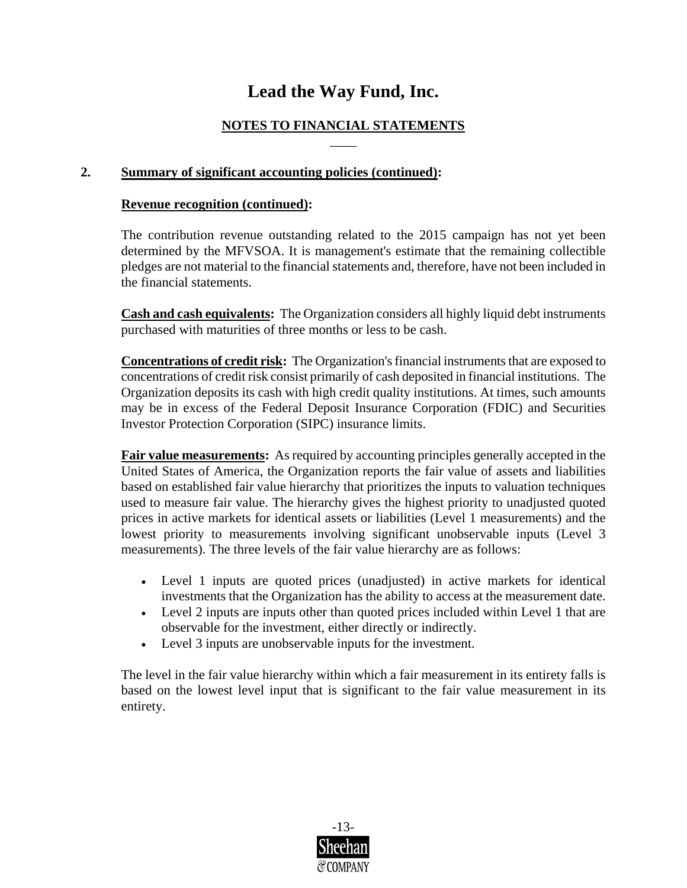#### **NOTES TO FINANCIAL STATEMENTS** \_\_\_\_

#### **2. Summary of significant accounting policies (continued):**

#### **Revenue recognition (continued):**

The contribution revenue outstanding related to the 2015 campaign has not yet been determined by the MFVSOA. It is management's estimate that the remaining collectible pledges are not material to the financial statements and, therefore, have not been included in the financial statements.

**Cash and cash equivalents:** The Organization considers all highly liquid debt instruments purchased with maturities of three months or less to be cash.

**Concentrations of credit risk:** The Organization's financial instruments that are exposed to concentrations of credit risk consist primarily of cash deposited in financial institutions. The Organization deposits its cash with high credit quality institutions. At times, such amounts may be in excess of the Federal Deposit Insurance Corporation (FDIC) and Securities Investor Protection Corporation (SIPC) insurance limits.

**Fair value measurements:** As required by accounting principles generally accepted in the United States of America, the Organization reports the fair value of assets and liabilities based on established fair value hierarchy that prioritizes the inputs to valuation techniques used to measure fair value. The hierarchy gives the highest priority to unadjusted quoted prices in active markets for identical assets or liabilities (Level 1 measurements) and the lowest priority to measurements involving significant unobservable inputs (Level 3 measurements). The three levels of the fair value hierarchy are as follows:

- Level 1 inputs are quoted prices (unadjusted) in active markets for identical investments that the Organization has the ability to access at the measurement date.
- Level 2 inputs are inputs other than quoted prices included within Level 1 that are observable for the investment, either directly or indirectly.
- Level 3 inputs are unobservable inputs for the investment.

The level in the fair value hierarchy within which a fair measurement in its entirety falls is based on the lowest level input that is significant to the fair value measurement in its entirety.

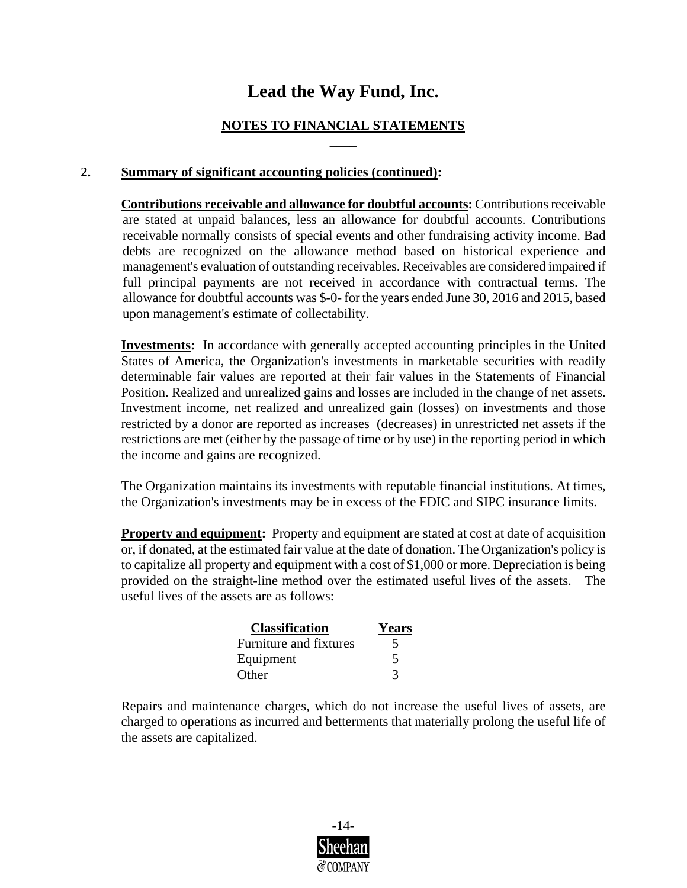#### **NOTES TO FINANCIAL STATEMENTS** \_\_\_\_

#### **2. Summary of significant accounting policies (continued):**

**Contributions receivable and allowance for doubtful accounts:** Contributions receivable are stated at unpaid balances, less an allowance for doubtful accounts. Contributions receivable normally consists of special events and other fundraising activity income. Bad debts are recognized on the allowance method based on historical experience and management's evaluation of outstanding receivables. Receivables are considered impaired if full principal payments are not received in accordance with contractual terms. The allowance for doubtful accounts was \$-0- for the years ended June 30, 2016 and 2015, based upon management's estimate of collectability.

**Investments:** In accordance with generally accepted accounting principles in the United States of America, the Organization's investments in marketable securities with readily determinable fair values are reported at their fair values in the Statements of Financial Position. Realized and unrealized gains and losses are included in the change of net assets. Investment income, net realized and unrealized gain (losses) on investments and those restricted by a donor are reported as increases (decreases) in unrestricted net assets if the restrictions are met (either by the passage of time or by use) in the reporting period in which the income and gains are recognized.

The Organization maintains its investments with reputable financial institutions. At times, the Organization's investments may be in excess of the FDIC and SIPC insurance limits.

**Property and equipment:** Property and equipment are stated at cost at date of acquisition or, if donated, at the estimated fair value at the date of donation. The Organization's policy is to capitalize all property and equipment with a cost of \$1,000 or more. Depreciation is being provided on the straight-line method over the estimated useful lives of the assets. The useful lives of the assets are as follows:

| <b>Classification</b>  | Years |
|------------------------|-------|
| Furniture and fixtures |       |
| Equipment              |       |
| Other                  |       |

Repairs and maintenance charges, which do not increase the useful lives of assets, are charged to operations as incurred and betterments that materially prolong the useful life of the assets are capitalized.

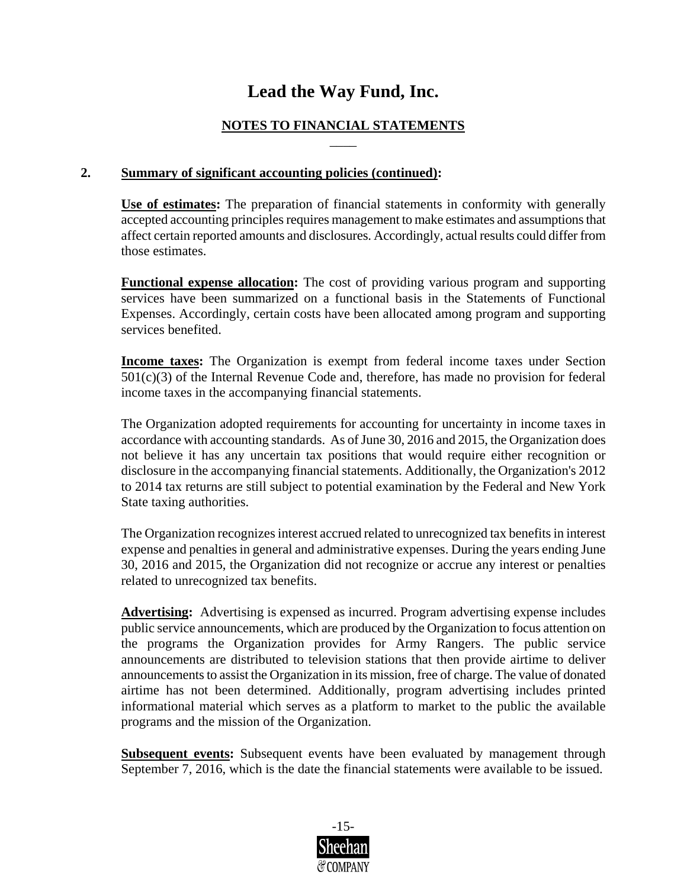#### **NOTES TO FINANCIAL STATEMENTS** \_\_\_\_

#### **2. Summary of significant accounting policies (continued):**

**Use of estimates:** The preparation of financial statements in conformity with generally accepted accounting principles requires management to make estimates and assumptions that affect certain reported amounts and disclosures. Accordingly, actual results could differ from those estimates.

**Functional expense allocation:** The cost of providing various program and supporting services have been summarized on a functional basis in the Statements of Functional Expenses. Accordingly, certain costs have been allocated among program and supporting services benefited.

**Income taxes:** The Organization is exempt from federal income taxes under Section  $501(c)(3)$  of the Internal Revenue Code and, therefore, has made no provision for federal income taxes in the accompanying financial statements.

The Organization adopted requirements for accounting for uncertainty in income taxes in accordance with accounting standards. As of June 30, 2016 and 2015, the Organization does not believe it has any uncertain tax positions that would require either recognition or disclosure in the accompanying financial statements. Additionally, the Organization's 2012 to 2014 tax returns are still subject to potential examination by the Federal and New York State taxing authorities.

The Organization recognizes interest accrued related to unrecognized tax benefits in interest expense and penalties in general and administrative expenses. During the years ending June 30, 2016 and 2015, the Organization did not recognize or accrue any interest or penalties related to unrecognized tax benefits.

**Advertising:** Advertising is expensed as incurred. Program advertising expense includes public service announcements, which are produced by the Organization to focus attention on the programs the Organization provides for Army Rangers. The public service announcements are distributed to television stations that then provide airtime to deliver announcements to assist the Organization in its mission, free of charge. The value of donated airtime has not been determined. Additionally, program advertising includes printed informational material which serves as a platform to market to the public the available programs and the mission of the Organization.

**Subsequent events:** Subsequent events have been evaluated by management through September 7, 2016, which is the date the financial statements were available to be issued.

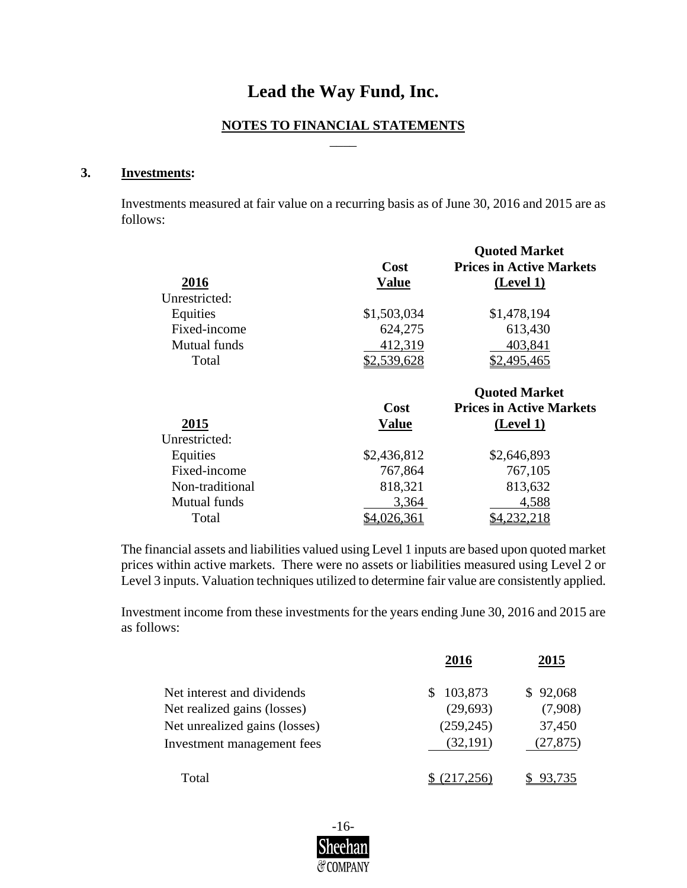#### **NOTES TO FINANCIAL STATEMENTS** \_\_\_\_

#### **3. Investments:**

Investments measured at fair value on a recurring basis as of June 30, 2016 and 2015 are as follows:

| 2016<br>Unrestricted: | Cost<br><b>Value</b> | <b>Quoted Market</b><br><b>Prices in Active Markets</b><br>(Level 1) |
|-----------------------|----------------------|----------------------------------------------------------------------|
| Equities              | \$1,503,034          | \$1,478,194                                                          |
| Fixed-income          | 624,275              | 613,430                                                              |
| Mutual funds          | 412,319              | 403,841                                                              |
| Total                 | \$2,539,628          | \$2,495,465                                                          |
|                       |                      | <b>Quoted Market</b>                                                 |
|                       |                      |                                                                      |
|                       | <b>Cost</b>          | <b>Prices in Active Markets</b>                                      |
| 2015                  | <b>Value</b>         | (Level 1)                                                            |
| Unrestricted:         |                      |                                                                      |
| Equities              | \$2,436,812          | \$2,646,893                                                          |
| Fixed-income          | 767,864              | 767,105                                                              |
| Non-traditional       | 818,321              | 813,632                                                              |
| Mutual funds          | 3,364                | 4,588                                                                |

The financial assets and liabilities valued using Level 1 inputs are based upon quoted market prices within active markets. There were no assets or liabilities measured using Level 2 or Level 3 inputs. Valuation techniques utilized to determine fair value are consistently applied.

Investment income from these investments for the years ending June 30, 2016 and 2015 are as follows:

|                               | 2016       | 2015      |
|-------------------------------|------------|-----------|
| Net interest and dividends    | 103,873    | \$92,068  |
| Net realized gains (losses)   | (29, 693)  | (7,908)   |
| Net unrealized gains (losses) | (259, 245) | 37,450    |
| Investment management fees    | (32,191)   | (27, 875) |
| Total                         |            |           |

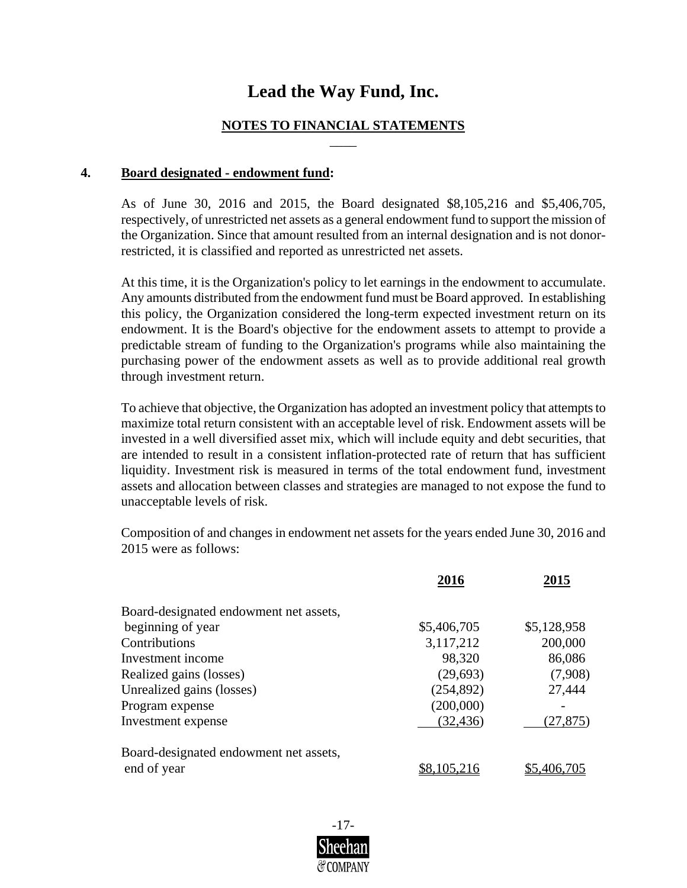#### **NOTES TO FINANCIAL STATEMENTS** \_\_\_\_

#### **4. Board designated - endowment fund:**

As of June 30, 2016 and 2015, the Board designated \$8,105,216 and \$5,406,705, respectively, of unrestricted net assets as a general endowment fund to support the mission of the Organization. Since that amount resulted from an internal designation and is not donorrestricted, it is classified and reported as unrestricted net assets.

At this time, it is the Organization's policy to let earnings in the endowment to accumulate. Any amounts distributed from the endowment fund must be Board approved. In establishing this policy, the Organization considered the long-term expected investment return on its endowment. It is the Board's objective for the endowment assets to attempt to provide a predictable stream of funding to the Organization's programs while also maintaining the purchasing power of the endowment assets as well as to provide additional real growth through investment return.

To achieve that objective, the Organization has adopted an investment policy that attempts to maximize total return consistent with an acceptable level of risk. Endowment assets will be invested in a well diversified asset mix, which will include equity and debt securities, that are intended to result in a consistent inflation-protected rate of return that has sufficient liquidity. Investment risk is measured in terms of the total endowment fund, investment assets and allocation between classes and strategies are managed to not expose the fund to unacceptable levels of risk.

Composition of and changes in endowment net assets for the years ended June 30, 2016 and 2015 were as follows:

|                                        | 2016        | 2015        |
|----------------------------------------|-------------|-------------|
| Board-designated endowment net assets, |             |             |
| beginning of year                      | \$5,406,705 | \$5,128,958 |
| Contributions                          | 3,117,212   | 200,000     |
| Investment income                      | 98,320      | 86,086      |
| Realized gains (losses)                | (29, 693)   | (7,908)     |
| Unrealized gains (losses)              | (254, 892)  | 27,444      |
| Program expense                        | (200,000)   |             |
| Investment expense                     | (32, 436)   | (27, 875)   |
| Board-designated endowment net assets, |             |             |
| end of year                            |             |             |

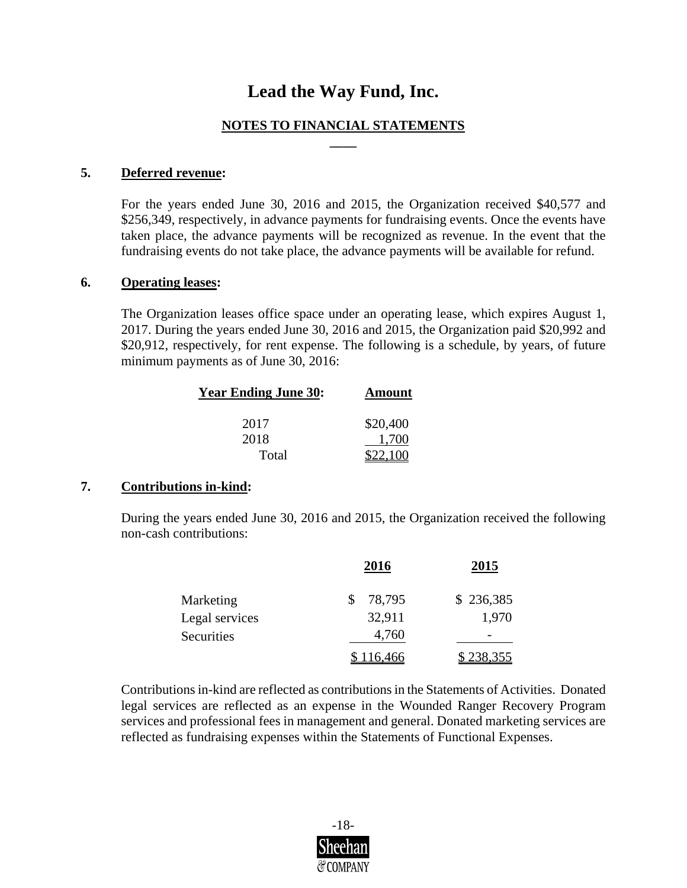#### **NOTES TO FINANCIAL STATEMENTS \_\_\_\_**

#### **5. Deferred revenue:**

For the years ended June 30, 2016 and 2015, the Organization received \$40,577 and \$256,349, respectively, in advance payments for fundraising events. Once the events have taken place, the advance payments will be recognized as revenue. In the event that the fundraising events do not take place, the advance payments will be available for refund.

#### **6. Operating leases:**

The Organization leases office space under an operating lease, which expires August 1, 2017. During the years ended June 30, 2016 and 2015, the Organization paid \$20,992 and \$20,912, respectively, for rent expense. The following is a schedule, by years, of future minimum payments as of June 30, 2016:

| <b>Year Ending June 30:</b> | <b>Amount</b> |
|-----------------------------|---------------|
| 2017                        | \$20,400      |
| 2018                        | 1.700         |
| Total                       |               |

#### **7. Contributions in-kind:**

During the years ended June 30, 2016 and 2015, the Organization received the following non-cash contributions:

|                | <u>2016</u> | <u>2015</u>      |
|----------------|-------------|------------------|
| Marketing      | 78,795      | \$236,385        |
| Legal services | 32,911      | 1,970            |
| Securities     | 4,760       |                  |
|                | 116,466     | <u>\$238,355</u> |

Contributions in-kind are reflected as contributions in the Statements of Activities. Donated legal services are reflected as an expense in the Wounded Ranger Recovery Program services and professional fees in management and general. Donated marketing services are reflected as fundraising expenses within the Statements of Functional Expenses.

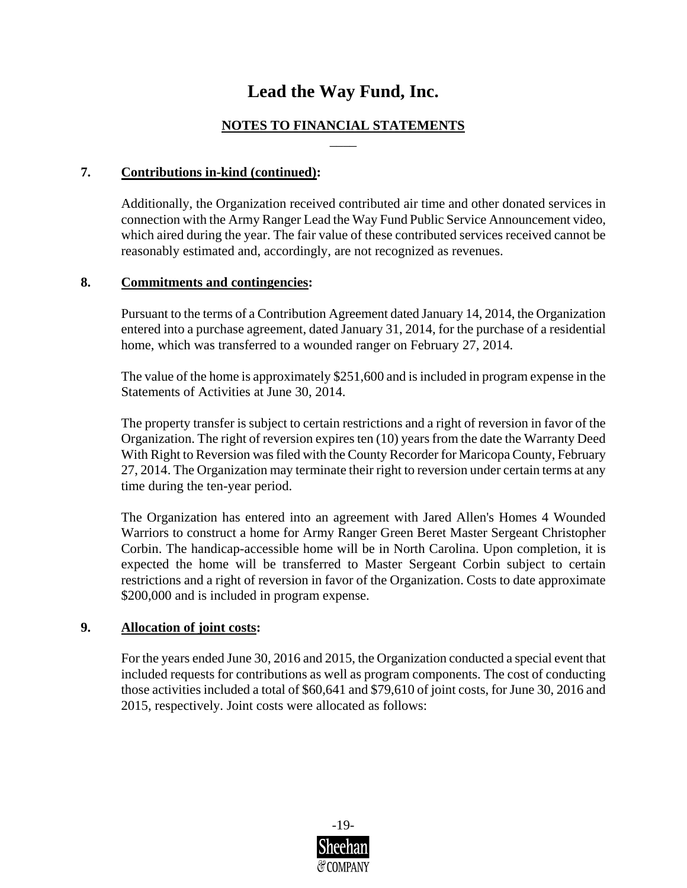#### **NOTES TO FINANCIAL STATEMENTS** \_\_\_\_

#### **7. Contributions in-kind (continued):**

Additionally, the Organization received contributed air time and other donated services in connection with the Army Ranger Lead the Way Fund Public Service Announcement video, which aired during the year. The fair value of these contributed services received cannot be reasonably estimated and, accordingly, are not recognized as revenues.

#### **8. Commitments and contingencies:**

Pursuant to the terms of a Contribution Agreement dated January 14, 2014, the Organization entered into a purchase agreement, dated January 31, 2014, for the purchase of a residential home, which was transferred to a wounded ranger on February 27, 2014.

The value of the home is approximately \$251,600 and is included in program expense in the Statements of Activities at June 30, 2014.

The property transfer is subject to certain restrictions and a right of reversion in favor of the Organization. The right of reversion expires ten (10) years from the date the Warranty Deed With Right to Reversion was filed with the County Recorder for Maricopa County, February 27, 2014. The Organization may terminate their right to reversion under certain terms at any time during the ten-year period.

The Organization has entered into an agreement with Jared Allen's Homes 4 Wounded Warriors to construct a home for Army Ranger Green Beret Master Sergeant Christopher Corbin. The handicap-accessible home will be in North Carolina. Upon completion, it is expected the home will be transferred to Master Sergeant Corbin subject to certain restrictions and a right of reversion in favor of the Organization. Costs to date approximate \$200,000 and is included in program expense.

#### **9. Allocation of joint costs:**

For the years ended June 30, 2016 and 2015, the Organization conducted a special event that included requests for contributions as well as program components. The cost of conducting those activities included a total of \$60,641 and \$79,610 of joint costs, for June 30, 2016 and 2015, respectively. Joint costs were allocated as follows: